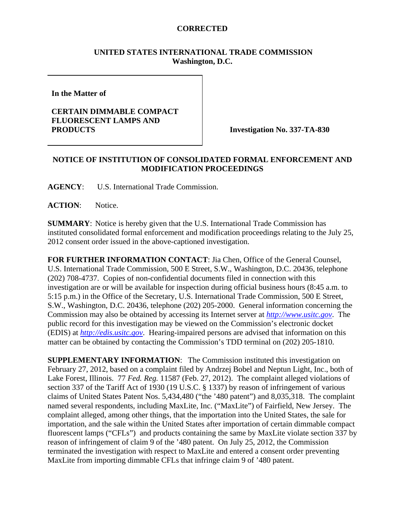## **CORRECTED**

### **UNITED STATES INTERNATIONAL TRADE COMMISSION Washington, D.C.**

**In the Matter of** 

### **CERTAIN DIMMABLE COMPACT FLUORESCENT LAMPS AND PRODUCTS** Investigation No. 337-TA-830

# **NOTICE OF INSTITUTION OF CONSOLIDATED FORMAL ENFORCEMENT AND MODIFICATION PROCEEDINGS**

**AGENCY**: U.S. International Trade Commission.

ACTION: Notice.

**SUMMARY**: Notice is hereby given that the U.S. International Trade Commission has instituted consolidated formal enforcement and modification proceedings relating to the July 25, 2012 consent order issued in the above-captioned investigation.

**FOR FURTHER INFORMATION CONTACT**: Jia Chen, Office of the General Counsel, U.S. International Trade Commission, 500 E Street, S.W., Washington, D.C. 20436, telephone (202) 708-4737. Copies of non-confidential documents filed in connection with this investigation are or will be available for inspection during official business hours (8:45 a.m. to 5:15 p.m.) in the Office of the Secretary, U.S. International Trade Commission, 500 E Street, S.W., Washington, D.C. 20436, telephone (202) 205-2000. General information concerning the Commission may also be obtained by accessing its Internet server at *http://www.usitc.gov*. The public record for this investigation may be viewed on the Commission's electronic docket (EDIS) at *http://edis.usitc.gov*. Hearing-impaired persons are advised that information on this matter can be obtained by contacting the Commission's TDD terminal on (202) 205-1810.

**SUPPLEMENTARY INFORMATION:** The Commission instituted this investigation on February 27, 2012, based on a complaint filed by Andrzej Bobel and Neptun Light, Inc., both of Lake Forest, Illinois. 77 *Fed. Reg.* 11587 (Feb. 27, 2012). The complaint alleged violations of section 337 of the Tariff Act of 1930 (19 U.S.C. § 1337) by reason of infringement of various claims of United States Patent Nos. 5,434,480 ("the '480 patent") and 8,035,318. The complaint named several respondents, including MaxLite, Inc. ("MaxLite") of Fairfield, New Jersey. The complaint alleged, among other things, that the importation into the United States, the sale for importation, and the sale within the United States after importation of certain dimmable compact fluorescent lamps ("CFLs") and products containing the same by MaxLite violate section 337 by reason of infringement of claim 9 of the '480 patent. On July 25, 2012, the Commission terminated the investigation with respect to MaxLite and entered a consent order preventing MaxLite from importing dimmable CFLs that infringe claim 9 of '480 patent.